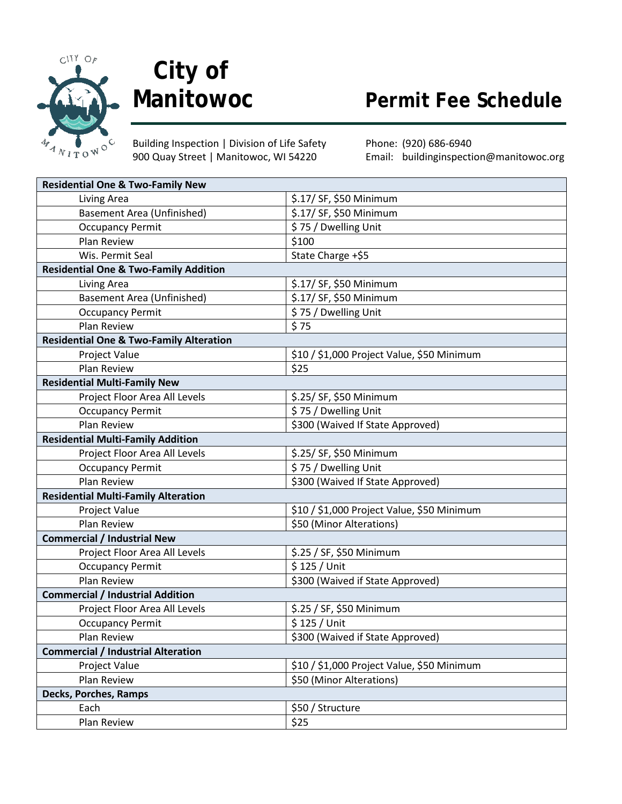

## **City of**

Building Inspection | Division of Life Safety Phone: (920) 686-6940 900 Quay Street | Manitowoc, WI 54220 Email: buildinginspection@manitowoc.org

**Permit Fee Schedule** 

| <b>Residential One &amp; Two-Family New</b>        |                                            |  |
|----------------------------------------------------|--------------------------------------------|--|
| Living Area                                        | \$.17/ SF, \$50 Minimum                    |  |
| <b>Basement Area (Unfinished)</b>                  | \$.17/ SF, \$50 Minimum                    |  |
| <b>Occupancy Permit</b>                            | \$75 / Dwelling Unit                       |  |
| <b>Plan Review</b>                                 | \$100                                      |  |
| Wis. Permit Seal                                   | State Charge +\$5                          |  |
| <b>Residential One &amp; Two-Family Addition</b>   |                                            |  |
| Living Area                                        | \$.17/ SF, \$50 Minimum                    |  |
| <b>Basement Area (Unfinished)</b>                  | \$.17/ SF, \$50 Minimum                    |  |
| <b>Occupancy Permit</b>                            | \$75 / Dwelling Unit                       |  |
| Plan Review                                        | \$75                                       |  |
| <b>Residential One &amp; Two-Family Alteration</b> |                                            |  |
| Project Value                                      | \$10 / \$1,000 Project Value, \$50 Minimum |  |
| Plan Review                                        | \$25                                       |  |
| <b>Residential Multi-Family New</b>                |                                            |  |
| Project Floor Area All Levels                      | \$.25/ SF, \$50 Minimum                    |  |
| <b>Occupancy Permit</b>                            | \$75 / Dwelling Unit                       |  |
| Plan Review                                        | \$300 (Waived If State Approved)           |  |
| <b>Residential Multi-Family Addition</b>           |                                            |  |
| Project Floor Area All Levels                      | \$.25/ SF, \$50 Minimum                    |  |
| <b>Occupancy Permit</b>                            | \$75 / Dwelling Unit                       |  |
| Plan Review                                        | \$300 (Waived If State Approved)           |  |
| <b>Residential Multi-Family Alteration</b>         |                                            |  |
| Project Value                                      | \$10 / \$1,000 Project Value, \$50 Minimum |  |
| Plan Review                                        | \$50 (Minor Alterations)                   |  |
| <b>Commercial / Industrial New</b>                 |                                            |  |
| Project Floor Area All Levels                      | \$.25 / SF, \$50 Minimum                   |  |
| <b>Occupancy Permit</b>                            | \$125 / Unit                               |  |
| Plan Review                                        | \$300 (Waived if State Approved)           |  |
| <b>Commercial / Industrial Addition</b>            |                                            |  |
| Project Floor Area All Levels                      | \$.25 / SF, \$50 Minimum                   |  |
| <b>Occupancy Permit</b>                            | \$125 / Unit                               |  |
| Plan Review                                        | \$300 (Waived if State Approved)           |  |
| <b>Commercial / Industrial Alteration</b>          |                                            |  |
| Project Value                                      | \$10 / \$1,000 Project Value, \$50 Minimum |  |
| Plan Review                                        | \$50 (Minor Alterations)                   |  |
| Decks, Porches, Ramps                              |                                            |  |
| Each                                               | \$50 / Structure                           |  |
| Plan Review                                        | \$25                                       |  |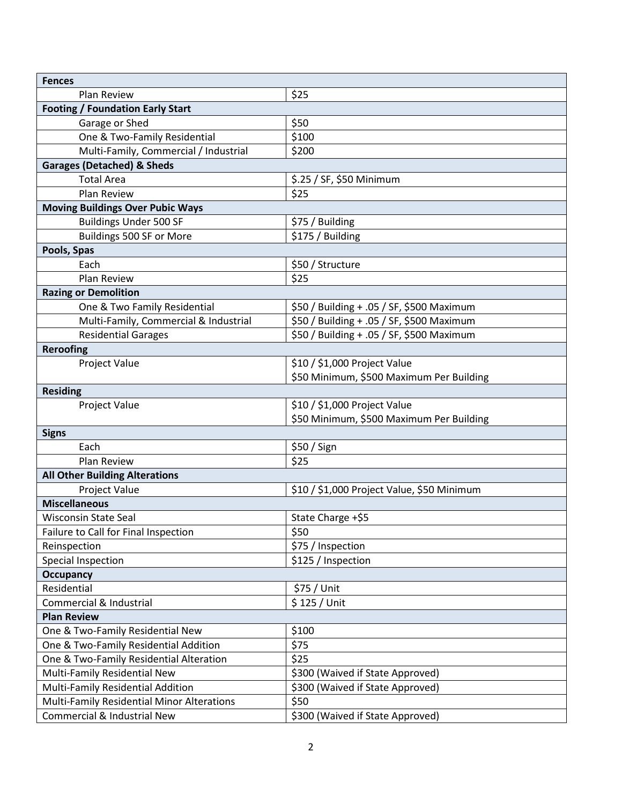| <b>Fences</b>                              |                                            |  |
|--------------------------------------------|--------------------------------------------|--|
| Plan Review                                | \$25                                       |  |
| <b>Footing / Foundation Early Start</b>    |                                            |  |
| Garage or Shed                             | \$50                                       |  |
| One & Two-Family Residential               | \$100                                      |  |
| Multi-Family, Commercial / Industrial      | \$200                                      |  |
| <b>Garages (Detached) &amp; Sheds</b>      |                                            |  |
| <b>Total Area</b>                          | \$.25 / SF, \$50 Minimum                   |  |
| <b>Plan Review</b>                         | \$25                                       |  |
| <b>Moving Buildings Over Pubic Ways</b>    |                                            |  |
| <b>Buildings Under 500 SF</b>              | \$75 / Building                            |  |
| Buildings 500 SF or More                   | \$175 / Building                           |  |
| Pools, Spas                                |                                            |  |
| Each                                       | \$50 / Structure                           |  |
| Plan Review                                | \$25                                       |  |
| <b>Razing or Demolition</b>                |                                            |  |
| One & Two Family Residential               | \$50 / Building + .05 / SF, \$500 Maximum  |  |
| Multi-Family, Commercial & Industrial      | \$50 / Building + .05 / SF, \$500 Maximum  |  |
| <b>Residential Garages</b>                 | \$50 / Building + .05 / SF, \$500 Maximum  |  |
| <b>Reroofing</b>                           |                                            |  |
| <b>Project Value</b>                       | \$10 / \$1,000 Project Value               |  |
|                                            | \$50 Minimum, \$500 Maximum Per Building   |  |
| <b>Residing</b>                            |                                            |  |
| Project Value                              | \$10 / \$1,000 Project Value               |  |
|                                            | \$50 Minimum, \$500 Maximum Per Building   |  |
| <b>Signs</b>                               |                                            |  |
| Each                                       | \$50 / Sign                                |  |
| Plan Review                                | \$25                                       |  |
| <b>All Other Building Alterations</b>      |                                            |  |
| Project Value                              | \$10 / \$1,000 Project Value, \$50 Minimum |  |
| <b>Miscellaneous</b>                       |                                            |  |
| <b>Wisconsin State Seal</b>                | State Charge +\$5                          |  |
| Failure to Call for Final Inspection       | \$50                                       |  |
| Reinspection                               | \$75 / Inspection                          |  |
| Special Inspection                         | \$125 / Inspection                         |  |
| <b>Occupancy</b>                           |                                            |  |
| Residential                                | \$75 / Unit                                |  |
| Commercial & Industrial                    | $$125 /$ Unit                              |  |
| <b>Plan Review</b>                         |                                            |  |
| One & Two-Family Residential New           | \$100                                      |  |
| One & Two-Family Residential Addition      | \$75                                       |  |
| One & Two-Family Residential Alteration    | \$25                                       |  |
| Multi-Family Residential New               | \$300 (Waived if State Approved)           |  |
| Multi-Family Residential Addition          | \$300 (Waived if State Approved)           |  |
| Multi-Family Residential Minor Alterations | \$50                                       |  |
| Commercial & Industrial New                | \$300 (Waived if State Approved)           |  |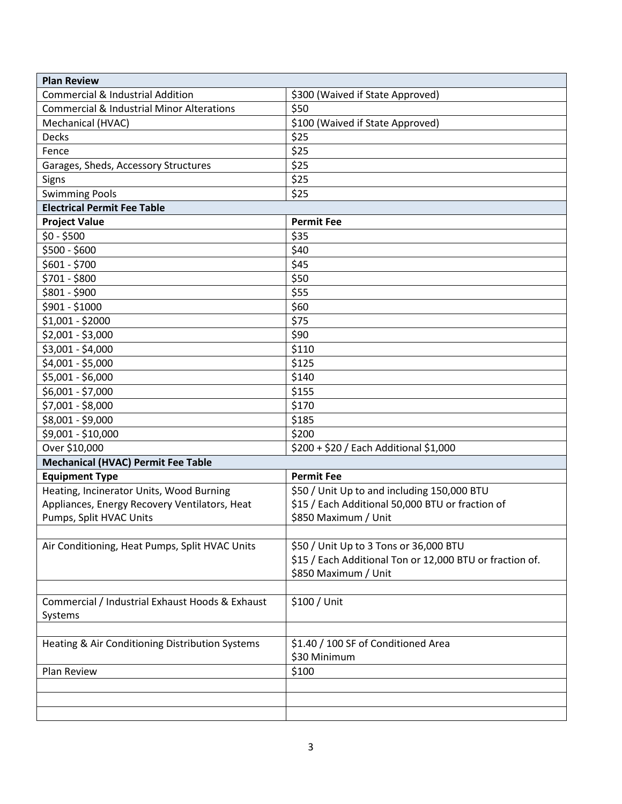| <b>Plan Review</b>                                   |                                                          |  |
|------------------------------------------------------|----------------------------------------------------------|--|
| <b>Commercial &amp; Industrial Addition</b>          | \$300 (Waived if State Approved)                         |  |
| <b>Commercial &amp; Industrial Minor Alterations</b> | \$50                                                     |  |
| Mechanical (HVAC)                                    | \$100 (Waived if State Approved)                         |  |
| Decks                                                | \$25                                                     |  |
| Fence                                                | \$25                                                     |  |
| Garages, Sheds, Accessory Structures                 | \$25                                                     |  |
| Signs                                                | \$25                                                     |  |
| <b>Swimming Pools</b>                                | \$25                                                     |  |
| <b>Electrical Permit Fee Table</b>                   |                                                          |  |
| <b>Project Value</b>                                 | <b>Permit Fee</b>                                        |  |
| $$0 - $500$                                          | \$35                                                     |  |
| \$500 - \$600                                        | \$40                                                     |  |
| $$601 - $700$                                        | \$45                                                     |  |
| \$701 - \$800                                        | \$50                                                     |  |
| \$801 - \$900                                        | \$55                                                     |  |
| \$901 - \$1000                                       | \$60                                                     |  |
| \$1,001 - \$2000                                     | \$75                                                     |  |
| $$2,001 - $3,000$                                    | \$90                                                     |  |
| \$3,001 - \$4,000                                    | \$110                                                    |  |
| \$4,001 - \$5,000                                    | \$125                                                    |  |
| \$5,001 - \$6,000                                    | \$140                                                    |  |
| \$6,001 - \$7,000                                    | \$155                                                    |  |
| \$7,001 - \$8,000                                    | \$170                                                    |  |
| \$8,001 - \$9,000                                    | \$185                                                    |  |
| \$9,001 - \$10,000                                   | \$200                                                    |  |
| Over \$10,000                                        | \$200 + \$20 / Each Additional \$1,000                   |  |
| <b>Mechanical (HVAC) Permit Fee Table</b>            |                                                          |  |
| <b>Equipment Type</b>                                | <b>Permit Fee</b>                                        |  |
| Heating, Incinerator Units, Wood Burning             | \$50 / Unit Up to and including 150,000 BTU              |  |
| Appliances, Energy Recovery Ventilators, Heat        | \$15 / Each Additional 50,000 BTU or fraction of         |  |
| Pumps, Split HVAC Units                              | \$850 Maximum / Unit                                     |  |
|                                                      |                                                          |  |
| Air Conditioning, Heat Pumps, Split HVAC Units       | \$50 / Unit Up to 3 Tons or 36,000 BTU                   |  |
|                                                      | \$15 / Each Additional Ton or 12,000 BTU or fraction of. |  |
|                                                      | \$850 Maximum / Unit                                     |  |
|                                                      |                                                          |  |
| Commercial / Industrial Exhaust Hoods & Exhaust      | \$100 / Unit                                             |  |
| Systems                                              |                                                          |  |
|                                                      |                                                          |  |
| Heating & Air Conditioning Distribution Systems      | \$1.40 / 100 SF of Conditioned Area                      |  |
|                                                      | \$30 Minimum                                             |  |
| Plan Review                                          | \$100                                                    |  |
|                                                      |                                                          |  |
|                                                      |                                                          |  |
|                                                      |                                                          |  |